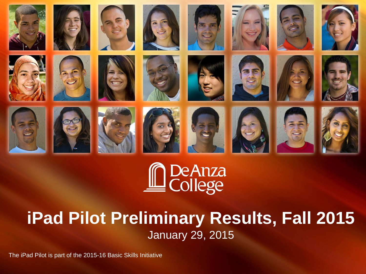

# De Anza<br>College

### **iPad Pilot Preliminary Results, Fall 2015** January 29, 2015

The iPad Pilot is part of the 2015-16 Basic Skills Initiative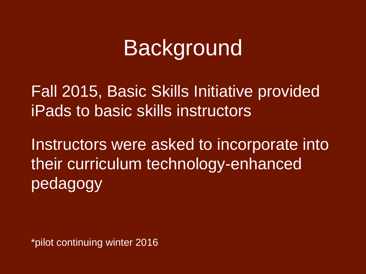# **Background**

Fall 2015, Basic Skills Initiative provided iPads to basic skills instructors

Instructors were asked to incorporate into their curriculum technology-enhanced pedagogy

\*pilot continuing winter 2016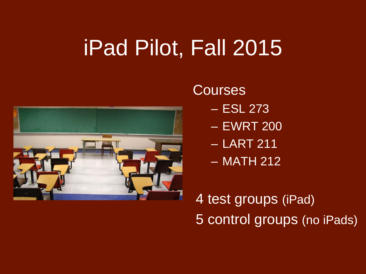# iPad Pilot, Fall 2015



**Courses** 

- ESL 273
- EWRT 200
- LART 211
- MATH 212

4 test groups (iPad) 5 control groups (no iPads)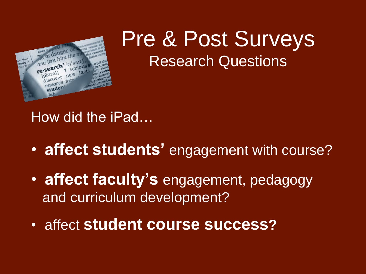

# Pre & Post Surveys Research Questions

How did the iPad…

- **affect students'** engagement with course?
- **affect faculty's** engagement, pedagogy and curriculum development?
- affect **student course success?**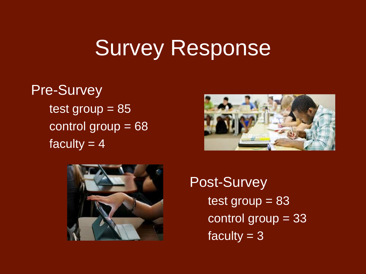# Survey Response

### Pre-Survey  $test group =  $85$$ control group = 68 faculty  $= 4$





Post-Survey test group  $= 83$ control group = 33 faculty  $= 3$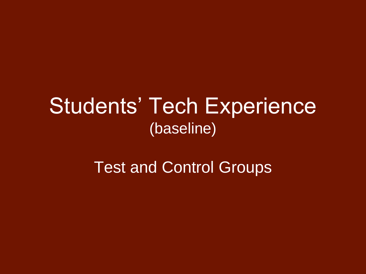# Students' Tech Experience (baseline)

### Test and Control Groups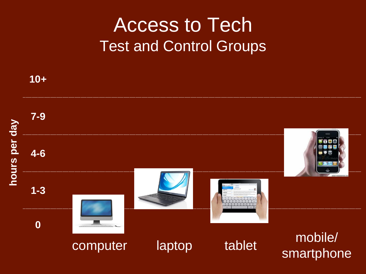# Access to Tech Test and Control Groups

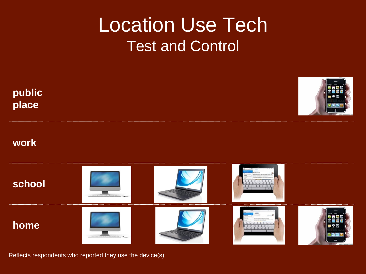# Location Use Tech Test and Control



Reflects respondents who reported they use the device(s)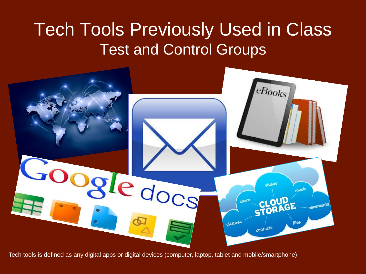## Tech Tools Previously Used in Class Test and Control Groups



Tech tools is defined as any digital apps or digital devices (computer, laptop, tablet and mobile/smartphone)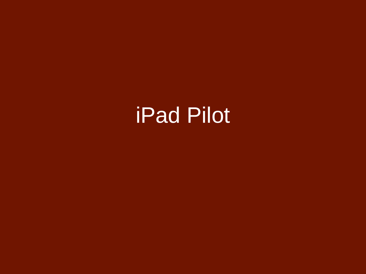# iPad Pilot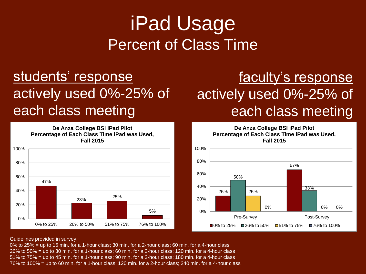# iPad Usage Percent of Class Time

#### students' response actively used 0%-25% of each class meeting

**De Anza College BSI iPad Pilot Percentage of Each Class Time iPad was Used, Fall 2015**



### faculty's response actively used 0%-25% of each class meeting

**De Anza College BSI iPad Pilot**



Guidelines provided in survey:

0% to 25% = up to 15 min. for a 1-hour class; 30 min. for a 2-hour class; 60 min. for a 4-hour class 26% to 50% = up to 30 min. for a 1-hour class; 60 min. for a 2-hour class; 120 min. for a 4-hour class 51% to 75% = up to 45 min. for a 1-hour class; 90 min. for a 2-hour class; 180 min. for a 4-hour class 76% to 100% = up to 60 min. for a 1-hour class; 120 min. for a 2-hour class; 240 min. for a 4-hour class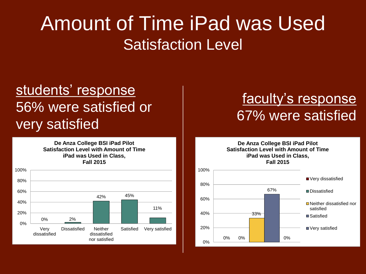# Amount of Time iPad was Used Satisfaction Level

#### students' response 56% were satisfied or very satisfied

**De Anza College BSI iPad Pilot Satisfaction Level with Amount of Time iPad was Used in Class, Fall 2015**



#### faculty's response 67% were satisfied

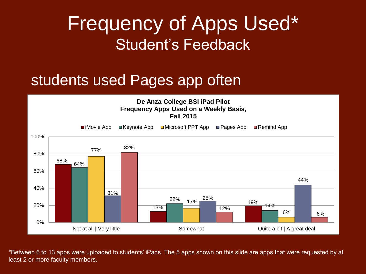# Frequency of Apps Used\* Student's Feedback

#### students used Pages app often



\*Between 6 to 13 apps were uploaded to students' iPads. The 5 apps shown on this slide are apps that were requested by at least 2 or more faculty members.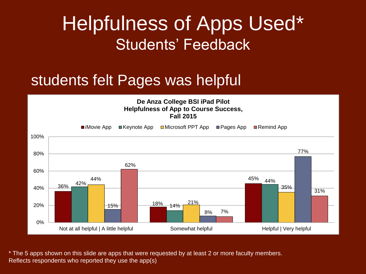# Helpfulness of Apps Used\* Students' Feedback

#### students felt Pages was helpful



\* The 5 apps shown on this slide are apps that were requested by at least 2 or more faculty members. Reflects respondents who reported they use the app(s)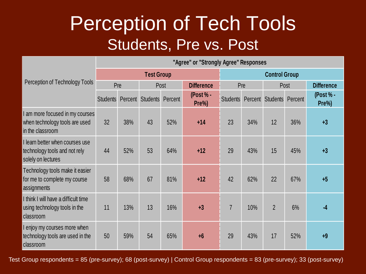# Perception of Tech Tools Students, Pre vs. Post

| Perception of Technology Tools                                                         | "Agree" or "Strongly Agree" Responses |         |                 |         |                      |                 |         |                 |         |                      |
|----------------------------------------------------------------------------------------|---------------------------------------|---------|-----------------|---------|----------------------|-----------------|---------|-----------------|---------|----------------------|
|                                                                                        | <b>Test Group</b>                     |         |                 |         | <b>Control Group</b> |                 |         |                 |         |                      |
|                                                                                        | Pre                                   |         | Post            |         | <b>Difference</b>    | Pre             |         | Post            |         | <b>Difference</b>    |
|                                                                                        | <b>Students</b>                       | Percent | <b>Students</b> | Percent | (Post $% -$<br>Pre%) | <b>Students</b> | Percent | <b>Students</b> | Percent | (Post $% -$<br>Pre%) |
| am more focused in my courses<br>when technology tools are used<br>in the classroom    | 32                                    | 38%     | 43              | 52%     | $+14$                | 23              | 34%     | 12              | 36%     | $+3$                 |
| I learn better when courses use<br>technology tools and not rely<br>solely on lectures | 44                                    | 52%     | 53              | 64%     | $+12$                | 29              | 43%     | 15              | 45%     | $+3$                 |
| Technology tools make it easier<br>for me to complete my course<br>assignments         | 58                                    | 68%     | 67              | 81%     | $+12$                | 42              | 62%     | 22              | 67%     | $+5$                 |
| I think I will have a difficult time<br>using technology tools in the<br>classroom     | 11                                    | 13%     | 13              | 16%     | $+3$                 | $\overline{7}$  | 10%     | $\overline{2}$  | 6%      | $-4$                 |
| l enjoy my courses more when<br>technology tools are used in the<br>classroom          | 50                                    | 59%     | 54              | 65%     | $+6$                 | 29              | 43%     | 17              | 52%     | $+9$                 |

Test Group respondents = 85 (pre-survey); 68 (post-survey) | Control Group respondents = 83 (pre-survey); 33 (post-survey)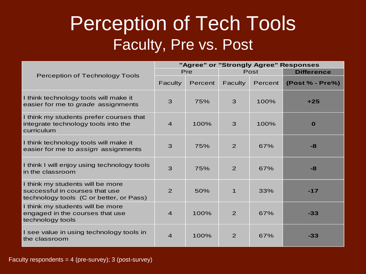# Perception of Tech Tools Faculty, Pre vs. Post

|                                                                                                               | "Agree" or "Strongly Agree" Responses |         |                |         |                   |  |  |
|---------------------------------------------------------------------------------------------------------------|---------------------------------------|---------|----------------|---------|-------------------|--|--|
|                                                                                                               | Pre                                   |         |                | Post    | <b>Difference</b> |  |  |
| <b>Perception of Technology Tools</b>                                                                         | Faculty                               | Percent | Faculty        | Percent | (Post % - Pre%)   |  |  |
| I think technology tools will make it<br>easier for me to grade assignments                                   | 3                                     | 75%     | 3              | 100%    | $+25$             |  |  |
| I think my students prefer courses that<br>integrate technology tools into the<br>curriculum                  | $\overline{4}$                        | 100%    | 3              | 100%    | $\mathbf{o}$      |  |  |
| I think technology tools will make it<br>easier for me to assign assignments                                  | 3                                     | 75%     | $\overline{2}$ | 67%     | $-8$              |  |  |
| I think I will enjoy using technology tools<br>in the classroom                                               | 3                                     | 75%     | 2              | 67%     | $-8$              |  |  |
| I think my students will be more<br>successful in courses that use<br>technology tools (C or better, or Pass) | $\overline{2}$                        | 50%     | $\overline{1}$ | 33%     | $-17$             |  |  |
| I think my students will be more<br>engaged in the courses that use<br>technology tools                       | $\overline{4}$                        | 100%    | 2              | 67%     | $-33$             |  |  |
| I see value in using technology tools in<br>the classroom                                                     | $\overline{4}$                        | 100%    | 2              | 67%     | $-33$             |  |  |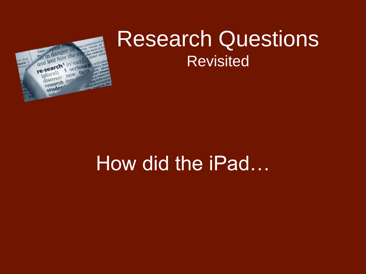

# Research Questions **Revisited**

# How did the iPad…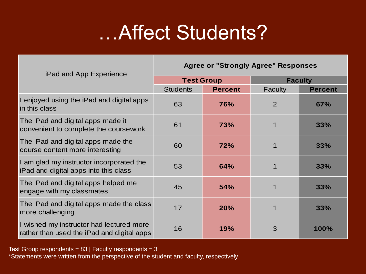# …Affect Students?

#### **Agree or "Strongly Agree" Responses**

| <b>IP ad and App Experience</b>                                                        |                   |                |                |                |  |
|----------------------------------------------------------------------------------------|-------------------|----------------|----------------|----------------|--|
|                                                                                        | <b>Test Group</b> |                | <b>Faculty</b> |                |  |
|                                                                                        | <b>Students</b>   | <b>Percent</b> | Faculty        | <b>Percent</b> |  |
| I enjoyed using the iPad and digital apps<br>in this class                             | 63                | 76%            | $\overline{2}$ | 67%            |  |
| The iPad and digital apps made it<br>convenient to complete the coursework             | 61                | 73%            | 1              | 33%            |  |
| The iPad and digital apps made the<br>course content more interesting                  | 60                | 72%            | 1              | 33%            |  |
| I am glad my instructor incorporated the<br>iPad and digital apps into this class      | 53                | 64%            | 1              | 33%            |  |
| The iPad and digital apps helped me<br>engage with my classmates                       | 45                | 54%            | 1              | 33%            |  |
| The iPad and digital apps made the class<br>more challenging                           | 17                | 20%            | 1              | 33%            |  |
| I wished my instructor had lectured more<br>rather than used the iPad and digital apps | 16                | 19%            | 3              | 100%           |  |

Test Group respondents =  $83$  | Faculty respondents =  $3$ 

iPad and App Experience

\*Statements were written from the perspective of the student and faculty, respectively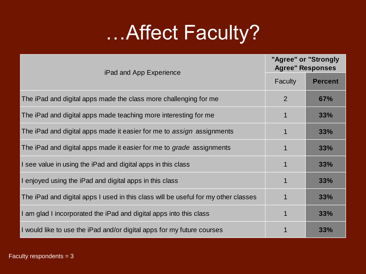# ... Affect Faculty?

| iPad and App Experience                                                            | "Agree" or "Strongly<br><b>Agree" Responses</b> |                |  |  |
|------------------------------------------------------------------------------------|-------------------------------------------------|----------------|--|--|
|                                                                                    | <b>Faculty</b>                                  | <b>Percent</b> |  |  |
| The iPad and digital apps made the class more challenging for me                   | 2                                               | 67%            |  |  |
| The iPad and digital apps made teaching more interesting for me                    | 1                                               | 33%            |  |  |
| The iPad and digital apps made it easier for me to assign assignments              | $\mathbf 1$                                     | 33%            |  |  |
| The iPad and digital apps made it easier for me to grade assignments               | 1                                               | 33%            |  |  |
| I see value in using the iPad and digital apps in this class                       | 1                                               | 33%            |  |  |
| I enjoyed using the iPad and digital apps in this class                            | 1                                               | 33%            |  |  |
| The iPad and digital apps I used in this class will be useful for my other classes | 1                                               | 33%            |  |  |
| I am glad I incorporated the iPad and digital apps into this class                 |                                                 | 33%            |  |  |
| I would like to use the iPad and/or digital apps for my future courses             |                                                 | 33%            |  |  |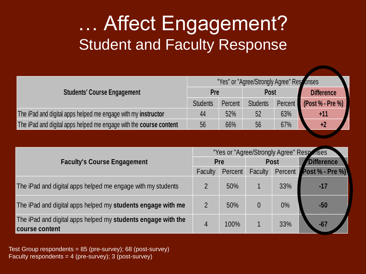# … Affect Engagement? Student and Faculty Response

|                                                                    | "Yes" or "Agree/Strongly Agree" Responses |         |                 |         |                   |  |
|--------------------------------------------------------------------|-------------------------------------------|---------|-----------------|---------|-------------------|--|
| <b>Students' Course Engagement</b>                                 |                                           | Pre     |                 | Post    | <b>Difference</b> |  |
|                                                                    | <b>Students</b>                           | Percent | <b>Students</b> | Percent | (Post % - Pre %)  |  |
| The iPad and digital apps helped me engage with my instructor      | 44                                        | 52%     | 52              | 63%     | $+11$             |  |
| The iPad and digital apps helped me engage with the course content | 56                                        | 66%     | 56              | 67%     | +2                |  |

| <b>Faculty's Course Engagement</b>                                             |   | "Yes or "Agree/Strongly Agree" Responses |                |             |                   |  |  |
|--------------------------------------------------------------------------------|---|------------------------------------------|----------------|-------------|-------------------|--|--|
|                                                                                |   | Pre                                      |                | <b>Post</b> | <b>Difference</b> |  |  |
|                                                                                |   | Percent                                  | <b>Faculty</b> | Percent     | Post % - Pre %)   |  |  |
| The iPad and digital apps helped me engage with my students                    |   | 50%                                      |                | 33%         | $-17$             |  |  |
| The iPad and digital apps helped my students engage with me                    |   | 50%                                      |                | $0\%$       | $-50$             |  |  |
| The iPad and digital apps helped my students engage with the<br>course content | 4 | 100%                                     |                | 33%         | $-67$             |  |  |

Test Group respondents = 85 (pre-survey); 68 (post-survey) Faculty respondents =  $4$  (pre-survey); 3 (post-survey)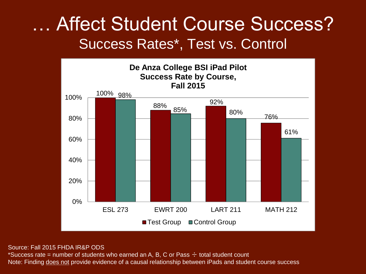## … Affect Student Course Success? Success Rates\*, Test vs. Control



#### Source: Fall 2015 FHDA IR&P ODS

\*Success rate = number of students who earned an A, B, C or Pass  $\div$  total student count Note: Finding does not provide evidence of a causal relationship between iPads and student course success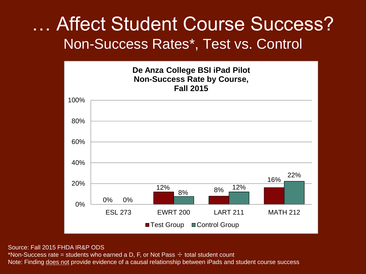## … Affect Student Course Success? Non-Success Rates\*, Test vs. Control



#### Source: Fall 2015 FHDA IR&P ODS

\*Non-Success rate = students who earned a D, F, or Not Pass  $\div$  total student count Note: Finding does not provide evidence of a causal relationship between iPads and student course success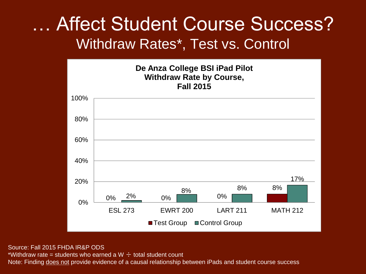## … Affect Student Course Success? Withdraw Rates\*, Test vs. Control



Source: Fall 2015 FHDA IR&P ODS

\*Withdraw rate = students who earned a W  $\div$  total student count

Note: Finding does not provide evidence of a causal relationship between iPads and student course success